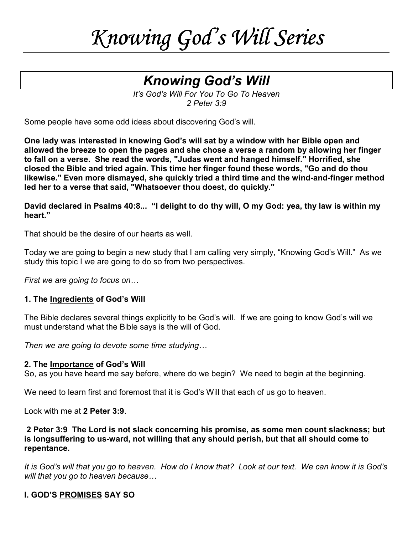# *Knowing God's Will Knowing WillSeries*

# *Knowing God's Will*

*It's God's Will For You To Go To Heaven 2 Peter 3:9* 

Some people have some odd ideas about discovering God's will.

**One lady was interested in knowing God's will sat by a window with her Bible open and allowed the breeze to open the pages and she chose a verse a random by allowing her finger to fall on a verse. She read the words, "Judas went and hanged himself." Horrified, she closed the Bible and tried again. This time her finger found these words, "Go and do thou likewise." Even more dismayed, she quickly tried a third time and the wind-and-finger method led her to a verse that said, "Whatsoever thou doest, do quickly."** 

#### **David declared in Psalms 40:8... "I delight to do thy will, O my God: yea, thy law is within my heart."**

That should be the desire of our hearts as well.

Today we are going to begin a new study that I am calling very simply, "Knowing God's Will." As we study this topic I we are going to do so from two perspectives.

*First we are going to focus on…*

#### **1. The Ingredients of God's Will**

The Bible declares several things explicitly to be God's will. If we are going to know God's will we must understand what the Bible says is the will of God.

*Then we are going to devote some time studying…*

#### **2. The Importance of God's Will**

So, as you have heard me say before, where do we begin? We need to begin at the beginning.

We need to learn first and foremost that it is God's Will that each of us go to heaven.

Look with me at **2 Peter 3:9**.

# **2 Peter 3:9 The Lord is not slack concerning his promise, as some men count slackness; but is longsuffering to us-ward, not willing that any should perish, but that all should come to repentance.**

*It is God's will that you go to heaven. How do I know that? Look at our text. We can know it is God's will that you go to heaven because…* 

# **I. GOD'S PROMISES SAY SO**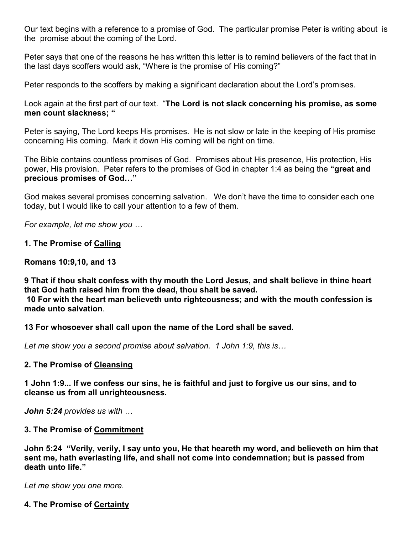Our text begins with a reference to a promise of God. The particular promise Peter is writing about is the promise about the coming of the Lord.

Peter says that one of the reasons he has written this letter is to remind believers of the fact that in the last days scoffers would ask, "Where is the promise of His coming?"

Peter responds to the scoffers by making a significant declaration about the Lord's promises.

Look again at the first part of our text. "**The Lord is not slack concerning his promise, as some men count slackness; "** 

Peter is saying, The Lord keeps His promises. He is not slow or late in the keeping of His promise concerning His coming. Mark it down His coming will be right on time.

The Bible contains countless promises of God. Promises about His presence, His protection, His power, His provision. Peter refers to the promises of God in chapter 1:4 as being the **"great and precious promises of God…"**

God makes several promises concerning salvation. We don't have the time to consider each one today, but I would like to call your attention to a few of them.

*For example, let me show you …*

# **1. The Promise of Calling**

# **Romans 10:9,10, and 13**

**9 That if thou shalt confess with thy mouth the Lord Jesus, and shalt believe in thine heart that God hath raised him from the dead, thou shalt be saved. 10 For with the heart man believeth unto righteousness; and with the mouth confession is** 

**made unto salvation**.

**13 For whosoever shall call upon the name of the Lord shall be saved.** 

*Let me show you a second promise about salvation. 1 John 1:9, this is…*

# **2. The Promise of Cleansing**

**1 John 1:9... If we confess our sins, he is faithful and just to forgive us our sins, and to cleanse us from all unrighteousness.** 

*John 5:24 provides us with …*

# **3. The Promise of Commitment**

**John 5:24 "Verily, verily, I say unto you, He that heareth my word, and believeth on him that sent me, hath everlasting life, and shall not come into condemnation; but is passed from death unto life."**

*Let me show you one more.* 

# **4. The Promise of Certainty**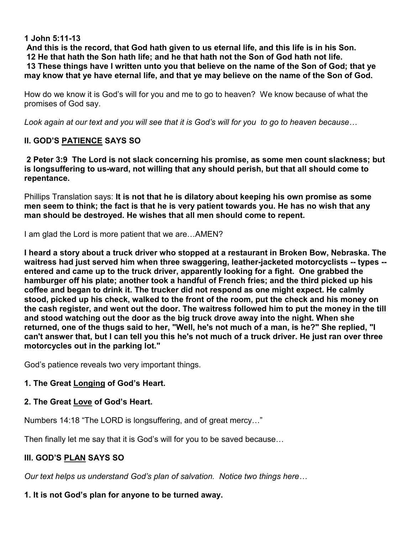#### **1 John 5:11-13**

**And this is the record, that God hath given to us eternal life, and this life is in his Son. 12 He that hath the Son hath life; and he that hath not the Son of God hath not life. 13 These things have I written unto you that believe on the name of the Son of God; that ye may know that ye have eternal life, and that ye may believe on the name of the Son of God.** 

How do we know it is God's will for you and me to go to heaven? We know because of what the promises of God say.

*Look again at our text and you will see that it is God's will for you to go to heaven because…*

# **II. GOD'S PATIENCE SAYS SO**

**2 Peter 3:9 The Lord is not slack concerning his promise, as some men count slackness; but is longsuffering to us-ward, not willing that any should perish, but that all should come to repentance.** 

Phillips Translation says: **It is not that he is dilatory about keeping his own promise as some men seem to think; the fact is that he is very patient towards you. He has no wish that any man should be destroyed. He wishes that all men should come to repent.** 

I am glad the Lord is more patient that we are…AMEN?

**I heard a story about a truck driver who stopped at a restaurant in Broken Bow, Nebraska. The waitress had just served him when three swaggering, leather-jacketed motorcyclists -- types - entered and came up to the truck driver, apparently looking for a fight. One grabbed the hamburger off his plate; another took a handful of French fries; and the third picked up his coffee and began to drink it. The trucker did not respond as one might expect. He calmly stood, picked up his check, walked to the front of the room, put the check and his money on the cash register, and went out the door. The waitress followed him to put the money in the till and stood watching out the door as the big truck drove away into the night. When she returned, one of the thugs said to her, "Well, he's not much of a man, is he?" She replied, "I can't answer that, but I can tell you this he's not much of a truck driver. He just ran over three motorcycles out in the parking lot."** 

God's patience reveals two very important things.

# **1. The Great Longing of God's Heart.**

# **2. The Great Love of God's Heart.**

Numbers 14:18 "The LORD is longsuffering, and of great mercy…"

Then finally let me say that it is God's will for you to be saved because…

# **III. GOD'S PLAN SAYS SO**

*Our text helps us understand God's plan of salvation. Notice two things here…*

# **1. It is not God's plan for anyone to be turned away.**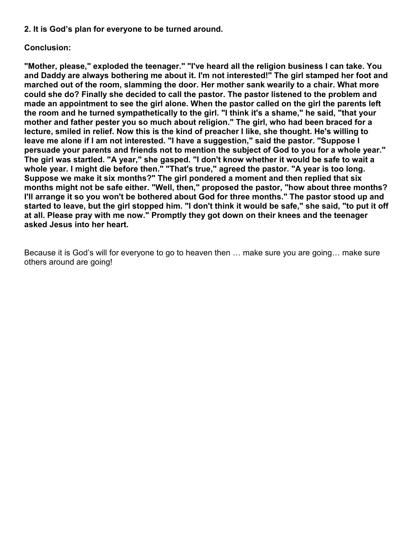**2. It is God's plan for everyone to be turned around.** 

# **Conclusion:**

**"Mother, please," exploded the teenager." "I've heard all the religion business I can take. You and Daddy are always bothering me about it. I'm not interested!" The girl stamped her foot and marched out of the room, slamming the door. Her mother sank wearily to a chair. What more could she do? Finally she decided to call the pastor. The pastor listened to the problem and made an appointment to see the girl alone. When the pastor called on the girl the parents left the room and he turned sympathetically to the girl. "I think it's a shame," he said, "that your mother and father pester you so much about religion." The girl, who had been braced for a lecture, smiled in relief. Now this is the kind of preacher I like, she thought. He's willing to leave me alone if I am not interested. "I have a suggestion," said the pastor. "Suppose I persuade your parents and friends not to mention the subject of God to you for a whole year." The girl was startled. "A year," she gasped. "I don't know whether it would be safe to wait a whole year. I might die before then." "That's true," agreed the pastor. "A year is too long. Suppose we make it six months?" The girl pondered a moment and then replied that six months might not be safe either. "Well, then," proposed the pastor, "how about three months? I'll arrange it so you won't be bothered about God for three months." The pastor stood up and started to leave, but the girl stopped him. "I don't think it would be safe," she said, "to put it off at all. Please pray with me now." Promptly they got down on their knees and the teenager asked Jesus into her heart.** 

Because it is God's will for everyone to go to heaven then … make sure you are going… make sure others around are going!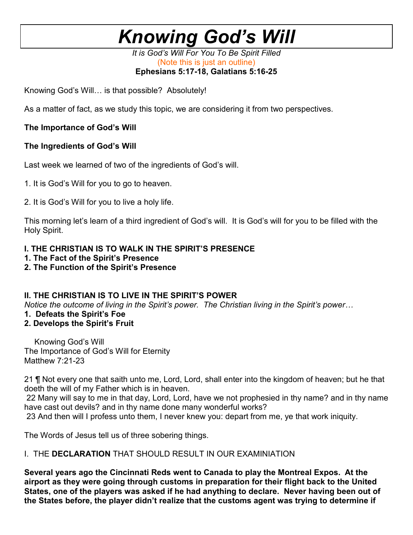*It is God's Will For You To Be Spirit Filled*  (Note this is just an outline) **Ephesians 5:17-18, Galatians 5:16-25** 

Knowing God's Will… is that possible? Absolutely!

As a matter of fact, as we study this topic, we are considering it from two perspectives.

# **The Importance of God's Will**

# **The Ingredients of God's Will**

Last week we learned of two of the ingredients of God's will.

- 1. It is God's Will for you to go to heaven.
- 2. It is God's Will for you to live a holy life.

This morning let's learn of a third ingredient of God's will. It is God's will for you to be filled with the Holy Spirit.

# **I. THE CHRISTIAN IS TO WALK IN THE SPIRIT'S PRESENCE**

- **1. The Fact of the Spirit's Presence**
- **2. The Function of the Spirit's Presence**

# **II. THE CHRISTIAN IS TO LIVE IN THE SPIRIT'S POWER**

*Notice the outcome of living in the Spirit's power. The Christian living in the Spirit's power…*

- **1. Defeats the Spirit's Foe**
- **2. Develops the Spirit's Fruit**

Knowing God's Will The Importance of God's Will for Eternity Matthew 7:21-23

21 ¶ Not every one that saith unto me, Lord, Lord, shall enter into the kingdom of heaven; but he that doeth the will of my Father which is in heaven.

 22 Many will say to me in that day, Lord, Lord, have we not prophesied in thy name? and in thy name have cast out devils? and in thy name done many wonderful works?

23 And then will I profess unto them, I never knew you: depart from me, ye that work iniquity.

The Words of Jesus tell us of three sobering things.

# I. THE **DECLARATION** THAT SHOULD RESULT IN OUR EXAMINIATION

**Several years ago the Cincinnati Reds went to Canada to play the Montreal Expos. At the airport as they were going through customs in preparation for their flight back to the United States, one of the players was asked if he had anything to declare. Never having been out of the States before, the player didn't realize that the customs agent was trying to determine if**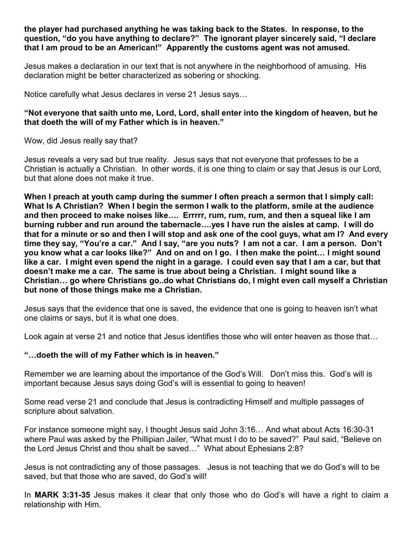**the player had purchased anything he was taking back to the States. In response, to the question, "do you have anything to declare?" The ignorant player sincerely said, "I declare that I am proud to be an American!" Apparently the customs agent was not amused.** 

Jesus makes a declaration in our text that is not anywhere in the neighborhood of amusing. His declaration might be better characterized as sobering or shocking.

Notice carefully what Jesus declares in verse 21 Jesus says…

# **"Not everyone that saith unto me, Lord, Lord, shall enter into the kingdom of heaven, but he that doeth the will of my Father which is in heaven."**

Wow, did Jesus really say that?

Jesus reveals a very sad but true reality. Jesus says that not everyone that professes to be a Christian is actually a Christian. In other words, it is one thing to claim or say that Jesus is our Lord, but that alone does not make it true.

**When I preach at youth camp during the summer I often preach a sermon that I simply call: What Is A Christian? When I begin the sermon I walk to the platform, smile at the audience and then proceed to make noises like…. Errrrr, rum, rum, rum, and then a squeal like I am burning rubber and run around the tabernacle….yes I have run the aisles at camp. I will do that for a minute or so and then I will stop and ask one of the cool guys, what am I? And every time they say, "You're a car." And I say, "are you nuts? I am not a car. I am a person. Don't you know what a car looks like?" And on and on I go. I then make the point… I might sound like a car. I might even spend the night in a garage. I could even say that I am a car, but that doesn't make me a car. The same is true about being a Christian. I might sound like a Christian… go where Christians go..do what Christians do, I might even call myself a Christian but none of those things make me a Christian.** 

Jesus says that the evidence that one is saved, the evidence that one is going to heaven isn't what one claims or says, but it is what one does.

Look again at verse 21 and notice that Jesus identifies those who will enter heaven as those that…

#### **"…doeth the will of my Father which is in heaven."**

Remember we are learning about the importance of the God's Will. Don't miss this. God's will is important because Jesus says doing God's will is essential to going to heaven!

Some read verse 21 and conclude that Jesus is contradicting Himself and multiple passages of scripture about salvation.

For instance someone might say, I thought Jesus said John 3:16… And what about Acts 16:30-31 where Paul was asked by the Phillipian Jailer, "What must I do to be saved?" Paul said, "Believe on the Lord Jesus Christ and thou shalt be saved…" What about Ephesians 2:8?

Jesus is not contradicting any of those passages. Jesus is not teaching that we do God's will to be saved, but that those who are saved, do God's will!

In **MARK 3:31-35** Jesus makes it clear that only those who do God's will have a right to claim a relationship with Him.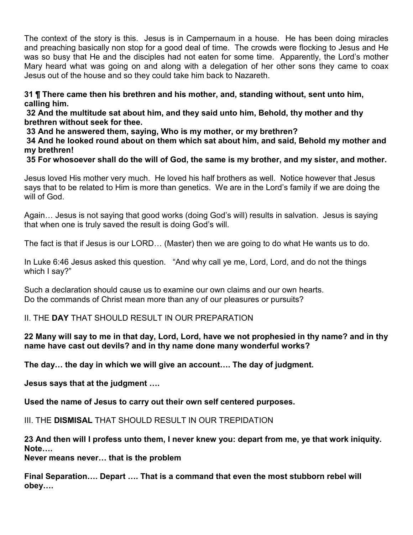The context of the story is this. Jesus is in Campernaum in a house. He has been doing miracles and preaching basically non stop for a good deal of time. The crowds were flocking to Jesus and He was so busy that He and the disciples had not eaten for some time. Apparently, the Lord's mother Mary heard what was going on and along with a delegation of her other sons they came to coax Jesus out of the house and so they could take him back to Nazareth.

**31 ¶ There came then his brethren and his mother, and, standing without, sent unto him, calling him.** 

 **32 And the multitude sat about him, and they said unto him, Behold, thy mother and thy brethren without seek for thee.** 

 **33 And he answered them, saying, Who is my mother, or my brethren?** 

 **34 And he looked round about on them which sat about him, and said, Behold my mother and my brethren!** 

 **35 For whosoever shall do the will of God, the same is my brother, and my sister, and mother.** 

Jesus loved His mother very much. He loved his half brothers as well. Notice however that Jesus says that to be related to Him is more than genetics. We are in the Lord's family if we are doing the will of God.

Again… Jesus is not saying that good works (doing God's will) results in salvation. Jesus is saying that when one is truly saved the result is doing God's will.

The fact is that if Jesus is our LORD… (Master) then we are going to do what He wants us to do.

In Luke 6:46 Jesus asked this question. "And why call ye me, Lord, Lord, and do not the things which I say?"

Such a declaration should cause us to examine our own claims and our own hearts. Do the commands of Christ mean more than any of our pleasures or pursuits?

# II. THE **DAY** THAT SHOULD RESULT IN OUR PREPARATION

# **22 Many will say to me in that day, Lord, Lord, have we not prophesied in thy name? and in thy name have cast out devils? and in thy name done many wonderful works?**

**The day… the day in which we will give an account…. The day of judgment.** 

**Jesus says that at the judgment ….** 

**Used the name of Jesus to carry out their own self centered purposes.** 

III. THE **DISMISAL** THAT SHOULD RESULT IN OUR TREPIDATION

**23 And then will I profess unto them, I never knew you: depart from me, ye that work iniquity. Note….** 

**Never means never… that is the problem** 

**Final Separation…. Depart …. That is a command that even the most stubborn rebel will obey….**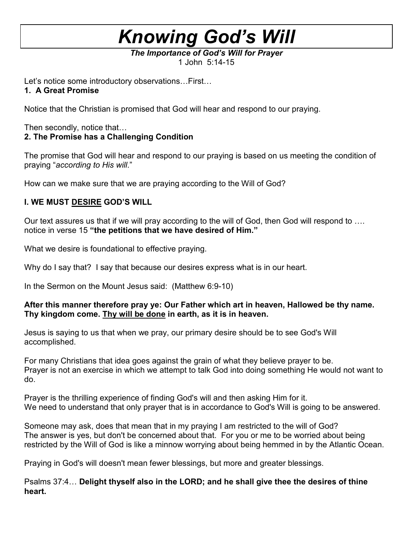*The Importance of God's Will for Prayer*  1 John 5:14-15

Let's notice some introductory observations…First…

# **1. A Great Promise**

Notice that the Christian is promised that God will hear and respond to our praying.

Then secondly, notice that…

# **2. The Promise has a Challenging Condition**

The promise that God will hear and respond to our praying is based on us meeting the condition of praying "*according to His will*."

How can we make sure that we are praying according to the Will of God?

# **I. WE MUST DESIRE GOD'S WILL**

Our text assures us that if we will pray according to the will of God, then God will respond to …. notice in verse 15 **"the petitions that we have desired of Him."** 

What we desire is foundational to effective praying.

Why do I say that? I say that because our desires express what is in our heart.

In the Sermon on the Mount Jesus said: (Matthew 6:9-10)

# **After this manner therefore pray ye: Our Father which art in heaven, Hallowed be thy name. Thy kingdom come. Thy will be done in earth, as it is in heaven.**

Jesus is saying to us that when we pray, our primary desire should be to see God's Will accomplished.

For many Christians that idea goes against the grain of what they believe prayer to be. Prayer is not an exercise in which we attempt to talk God into doing something He would not want to do.

Prayer is the thrilling experience of finding God's will and then asking Him for it. We need to understand that only prayer that is in accordance to God's Will is going to be answered.

Someone may ask, does that mean that in my praying I am restricted to the will of God? The answer is yes, but don't be concerned about that. For you or me to be worried about being restricted by the Will of God is like a minnow worrying about being hemmed in by the Atlantic Ocean.

Praying in God's will doesn't mean fewer blessings, but more and greater blessings.

Psalms 37:4… **Delight thyself also in the LORD; and he shall give thee the desires of thine heart.**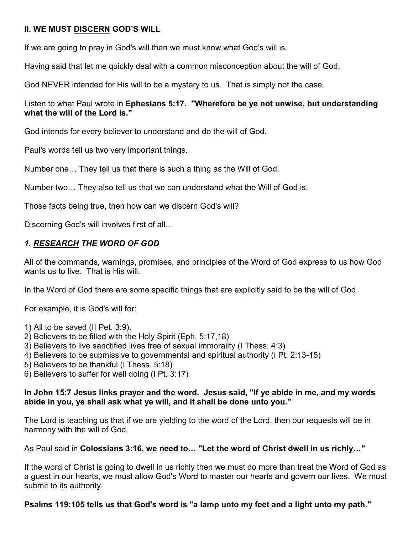# **II. WE MUST DISCERN GOD'S WILL**

If we are going to pray in God's will then we must know what God's will is.

Having said that let me quickly deal with a common misconception about the will of God.

God NEVER intended for His will to be a mystery to us. That is simply not the case.

# Listen to what Paul wrote in **Ephesians 5:17. "Wherefore be ye not unwise, but understanding what the will of the Lord is."**

God intends for every believer to understand and do the will of God.

Paul's words tell us two very important things.

Number one… They tell us that there is such a thing as the Will of God.

Number two… They also tell us that we can understand what the Will of God is.

Those facts being true, then how can we discern God's will?

Discerning God's will involves first of all…

# *1. RESEARCH THE WORD OF GOD*

All of the commands, warnings, promises, and principles of the Word of God express to us how God wants us to live. That is His will.

In the Word of God there are some specific things that are explicitly said to be the will of God.

For example, it is God's will for:

- 1) All to be saved (II Pet. 3:9).
- 2) Believers to be filled with the Holy Spirit (Eph. 5:17,18)
- 3) Believers to live sanctified lives free of sexual immorality (I Thess. 4:3)
- 4) Believers to be submissive to governmental and spiritual authority (I Pt. 2:13-15)
- 5) Believers to be thankful (I Thess. 5:18)
- 6) Believers to suffer for well doing (I Pt. 3:17)

#### **In John 15:7 Jesus links prayer and the word. Jesus said, "If ye abide in me, and my words abide in you, ye shall ask what ye will, and it shall be done unto you."**

The Lord is teaching us that if we are yielding to the word of the Lord, then our requests will be in harmony with the will of God.

# As Paul said in **Colossians 3:16, we need to… "Let the word of Christ dwell in us richly…"**

If the word of Christ is going to dwell in us richly then we must do more than treat the Word of God as a guest in our hearts, we must allow God's Word to master our hearts and govern our lives. We must submit to its authority.

**Psalms 119:105 tells us that God's word is "a lamp unto my feet and a light unto my path."**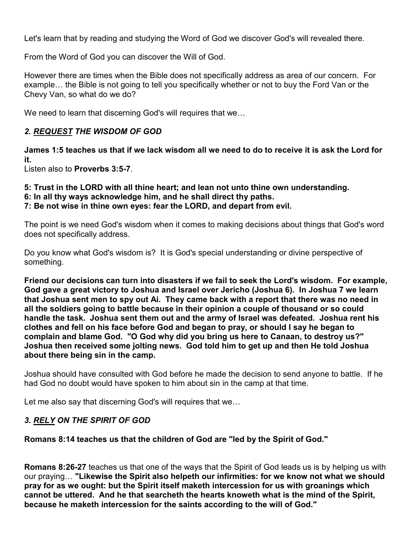Let's learn that by reading and studying the Word of God we discover God's will revealed there.

From the Word of God you can discover the Will of God.

However there are times when the Bible does not specifically address as area of our concern. For example… the Bible is not going to tell you specifically whether or not to buy the Ford Van or the Chevy Van, so what do we do?

We need to learn that discerning God's will requires that we…

# *2. REQUEST THE WISDOM OF GOD*

**James 1:5 teaches us that if we lack wisdom all we need to do to receive it is ask the Lord for it.**

Listen also to **Proverbs 3:5-7**.

- **5: Trust in the LORD with all thine heart; and lean not unto thine own understanding.**
- **6: In all thy ways acknowledge him, and he shall direct thy paths.**

**7: Be not wise in thine own eyes: fear the LORD, and depart from evil.** 

The point is we need God's wisdom when it comes to making decisions about things that God's word does not specifically address.

Do you know what God's wisdom is? It is God's special understanding or divine perspective of something.

**Friend our decisions can turn into disasters if we fail to seek the Lord's wisdom. For example, God gave a great victory to Joshua and Israel over Jericho (Joshua 6). In Joshua 7 we learn that Joshua sent men to spy out Ai. They came back with a report that there was no need in all the soldiers going to battle because in their opinion a couple of thousand or so could handle the task. Joshua sent them out and the army of Israel was defeated. Joshua rent his clothes and fell on his face before God and began to pray, or should I say he began to complain and blame God. "O God why did you bring us here to Canaan, to destroy us?" Joshua then received some jolting news. God told him to get up and then He told Joshua about there being sin in the camp.** 

Joshua should have consulted with God before he made the decision to send anyone to battle. If he had God no doubt would have spoken to him about sin in the camp at that time.

Let me also say that discerning God's will requires that we…

# *3. RELY ON THE SPIRIT OF GOD*

**Romans 8:14 teaches us that the children of God are "led by the Spirit of God."** 

**Romans 8:26-27** teaches us that one of the ways that the Spirit of God leads us is by helping us with our praying… **"Likewise the Spirit also helpeth our infirmities: for we know not what we should pray for as we ought: but the Spirit itself maketh intercession for us with groanings which cannot be uttered. And he that searcheth the hearts knoweth what is the mind of the Spirit, because he maketh intercession for the saints according to the will of God."**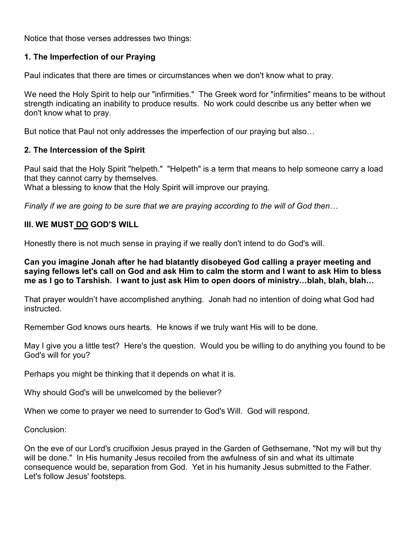Notice that those verses addresses two things:

# **1. The Imperfection of our Praying**

Paul indicates that there are times or circumstances when we don't know what to pray.

We need the Holy Spirit to help our "infirmities." The Greek word for "infirmities" means to be without strength indicating an inability to produce results. No work could describe us any better when we don't know what to pray.

But notice that Paul not only addresses the imperfection of our praying but also…

#### **2. The Intercession of the Spirit**

Paul said that the Holy Spirit "helpeth." "Helpeth" is a term that means to help someone carry a load that they cannot carry by themselves.

What a blessing to know that the Holy Spirit will improve our praying.

*Finally if we are going to be sure that we are praying according to the will of God then…*

# **III. WE MUST DO GOD'S WILL**

Honestly there is not much sense in praying if we really don't intend to do God's will.

**Can you imagine Jonah after he had blatantly disobeyed God calling a prayer meeting and saying fellows let's call on God and ask Him to calm the storm and I want to ask Him to bless me as I go to Tarshish. I want to just ask Him to open doors of ministry…blah, blah, blah…** 

That prayer wouldn't have accomplished anything. Jonah had no intention of doing what God had instructed.

Remember God knows ours hearts. He knows if we truly want His will to be done.

May I give you a little test? Here's the question. Would you be willing to do anything you found to be God's will for you?

Perhaps you might be thinking that it depends on what it is.

Why should God's will be unwelcomed by the believer?

When we come to prayer we need to surrender to God's Will. God will respond.

Conclusion:

On the eve of our Lord's crucifixion Jesus prayed in the Garden of Gethsemane, "Not my will but thy will be done." In His humanity Jesus recoiled from the awfulness of sin and what its ultimate consequence would be, separation from God. Yet in his humanity Jesus submitted to the Father. Let's follow Jesus' footsteps.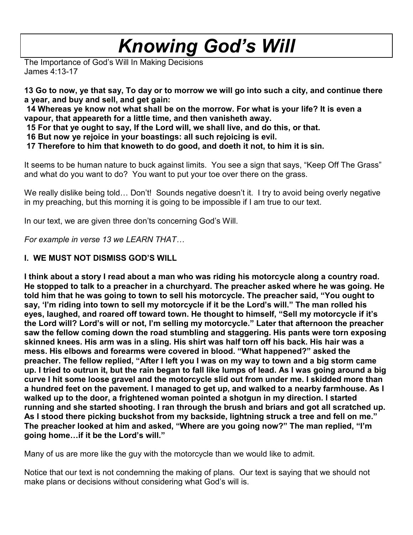The Importance of God's Will In Making Decisions James 4:13-17

**13 Go to now, ye that say, To day or to morrow we will go into such a city, and continue there a year, and buy and sell, and get gain:** 

 **14 Whereas ye know not what shall be on the morrow. For what is your life? It is even a vapour, that appeareth for a little time, and then vanisheth away.** 

 **15 For that ye ought to say, If the Lord will, we shall live, and do this, or that.** 

 **16 But now ye rejoice in your boastings: all such rejoicing is evil.** 

 **17 Therefore to him that knoweth to do good, and doeth it not, to him it is sin.** 

It seems to be human nature to buck against limits. You see a sign that says, "Keep Off The Grass" and what do you want to do? You want to put your toe over there on the grass.

We really dislike being told... Don't! Sounds negative doesn't it. I try to avoid being overly negative in my preaching, but this morning it is going to be impossible if I am true to our text.

In our text, we are given three don'ts concerning God's Will.

*For example in verse 13 we LEARN THAT…*

# **I. WE MUST NOT DISMISS GOD'S WILL**

**I think about a story I read about a man who was riding his motorcycle along a country road. He stopped to talk to a preacher in a churchyard. The preacher asked where he was going. He told him that he was going to town to sell his motorcycle. The preacher said, "You ought to say, 'I'm riding into town to sell my motorcycle if it be the Lord's will." The man rolled his eyes, laughed, and roared off toward town. He thought to himself, "Sell my motorcycle if it's the Lord will? Lord's will or not, I'm selling my motorcycle." Later that afternoon the preacher saw the fellow coming down the road stumbling and staggering. His pants were torn exposing skinned knees. His arm was in a sling. His shirt was half torn off his back. His hair was a mess. His elbows and forearms were covered in blood. "What happened?" asked the preacher. The fellow replied, "After I left you I was on my way to town and a big storm came up. I tried to outrun it, but the rain began to fall like lumps of lead. As I was going around a big curve I hit some loose gravel and the motorcycle slid out from under me. I skidded more than a hundred feet on the pavement. I managed to get up, and walked to a nearby farmhouse. As I walked up to the door, a frightened woman pointed a shotgun in my direction. I started running and she started shooting. I ran through the brush and briars and got all scratched up. As I stood there picking buckshot from my backside, lightning struck a tree and fell on me." The preacher looked at him and asked, "Where are you going now?" The man replied, "I'm going home…if it be the Lord's will."** 

Many of us are more like the guy with the motorcycle than we would like to admit.

Notice that our text is not condemning the making of plans. Our text is saying that we should not make plans or decisions without considering what God's will is.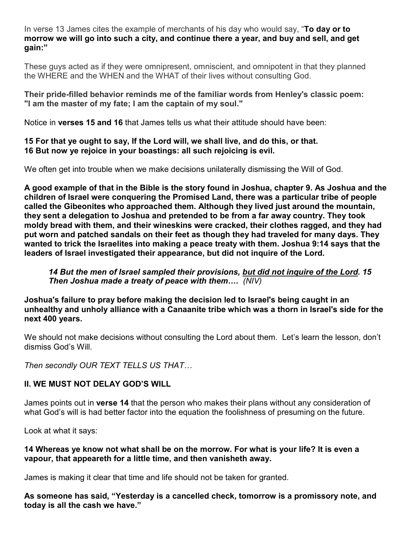In verse 13 James cites the example of merchants of his day who would say, "**To day or to morrow we will go into such a city, and continue there a year, and buy and sell, and get gain:"** 

These guys acted as if they were omnipresent, omniscient, and omnipotent in that they planned the WHERE and the WHEN and the WHAT of their lives without consulting God.

**Their pride-filled behavior reminds me of the familiar words from Henley's classic poem: "I am the master of my fate; I am the captain of my soul."** 

Notice in **verses 15 and 16** that James tells us what their attitude should have been:

# **15 For that ye ought to say, If the Lord will, we shall live, and do this, or that. 16 But now ye rejoice in your boastings: all such rejoicing is evil.**

We often get into trouble when we make decisions unilaterally dismissing the Will of God.

**A good example of that in the Bible is the story found in Joshua, chapter 9. As Joshua and the children of Israel were conquering the Promised Land, there was a particular tribe of people called the Gibeonites who approached them. Although they lived just around the mountain, they sent a delegation to Joshua and pretended to be from a far away country. They took moldy bread with them, and their wineskins were cracked, their clothes ragged, and they had put worn and patched sandals on their feet as though they had traveled for many days. They wanted to trick the Israelites into making a peace treaty with them. Joshua 9:14 says that the leaders of Israel investigated their appearance, but did not inquire of the Lord.** 

# *14 But the men of Israel sampled their provisions, but did not inquire of the Lord. 15 Then Joshua made a treaty of peace with them…. (NIV)*

**Joshua's failure to pray before making the decision led to Israel's being caught in an unhealthy and unholy alliance with a Canaanite tribe which was a thorn in Israel's side for the next 400 years.** 

We should not make decisions without consulting the Lord about them. Let's learn the lesson, don't dismiss God's Will.

*Then secondly OUR TEXT TELLS US THAT…*

# **II. WE MUST NOT DELAY GOD'S WILL**

James points out in **verse 14** that the person who makes their plans without any consideration of what God's will is had better factor into the equation the foolishness of presuming on the future.

Look at what it says:

# **14 Whereas ye know not what shall be on the morrow. For what is your life? It is even a vapour, that appeareth for a little time, and then vanisheth away.**

James is making it clear that time and life should not be taken for granted.

**As someone has said, "Yesterday is a cancelled check, tomorrow is a promissory note, and today is all the cash we have."**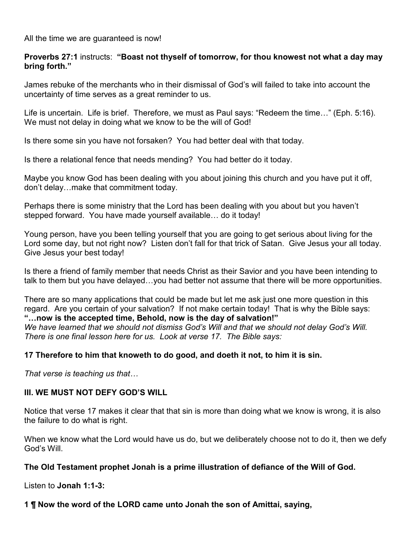All the time we are guaranteed is now!

#### **Proverbs 27:1** instructs: **"Boast not thyself of tomorrow, for thou knowest not what a day may bring forth."**

James rebuke of the merchants who in their dismissal of God's will failed to take into account the uncertainty of time serves as a great reminder to us.

Life is uncertain. Life is brief. Therefore, we must as Paul says: "Redeem the time…" (Eph. 5:16). We must not delay in doing what we know to be the will of God!

Is there some sin you have not forsaken? You had better deal with that today.

Is there a relational fence that needs mending? You had better do it today.

Maybe you know God has been dealing with you about joining this church and you have put it off, don't delay…make that commitment today.

Perhaps there is some ministry that the Lord has been dealing with you about but you haven't stepped forward. You have made yourself available… do it today!

Young person, have you been telling yourself that you are going to get serious about living for the Lord some day, but not right now? Listen don't fall for that trick of Satan. Give Jesus your all today. Give Jesus your best today!

Is there a friend of family member that needs Christ as their Savior and you have been intending to talk to them but you have delayed…you had better not assume that there will be more opportunities.

There are so many applications that could be made but let me ask just one more question in this regard. Are you certain of your salvation? If not make certain today! That is why the Bible says: **"…now is the accepted time, Behold, now is the day of salvation!"**  *We have learned that we should not dismiss God's Will and that we should not delay God's Will. There is one final lesson here for us. Look at verse 17. The Bible says:* 

# **17 Therefore to him that knoweth to do good, and doeth it not, to him it is sin.**

*That verse is teaching us that…*

#### **III. WE MUST NOT DEFY GOD'S WILL**

Notice that verse 17 makes it clear that that sin is more than doing what we know is wrong, it is also the failure to do what is right.

When we know what the Lord would have us do, but we deliberately choose not to do it, then we defy God's Will.

#### **The Old Testament prophet Jonah is a prime illustration of defiance of the Will of God.**

Listen to **Jonah 1:1-3:** 

**1 ¶ Now the word of the LORD came unto Jonah the son of Amittai, saying,**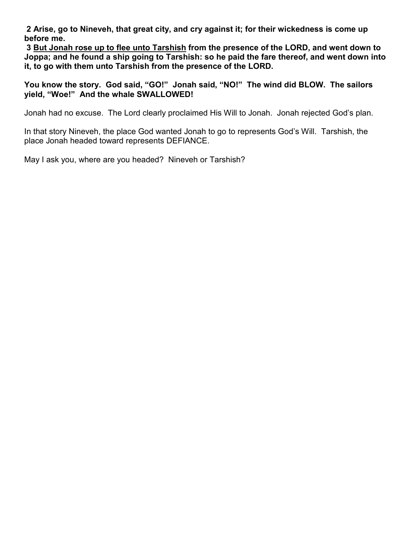**2 Arise, go to Nineveh, that great city, and cry against it; for their wickedness is come up before me.** 

 **3 But Jonah rose up to flee unto Tarshish from the presence of the LORD, and went down to Joppa; and he found a ship going to Tarshish: so he paid the fare thereof, and went down into it, to go with them unto Tarshish from the presence of the LORD.** 

**You know the story. God said, "GO!" Jonah said, "NO!" The wind did BLOW. The sailors yield, "Woe!" And the whale SWALLOWED!** 

Jonah had no excuse. The Lord clearly proclaimed His Will to Jonah. Jonah rejected God's plan.

In that story Nineveh, the place God wanted Jonah to go to represents God's Will. Tarshish, the place Jonah headed toward represents DEFIANCE.

May I ask you, where are you headed? Nineveh or Tarshish?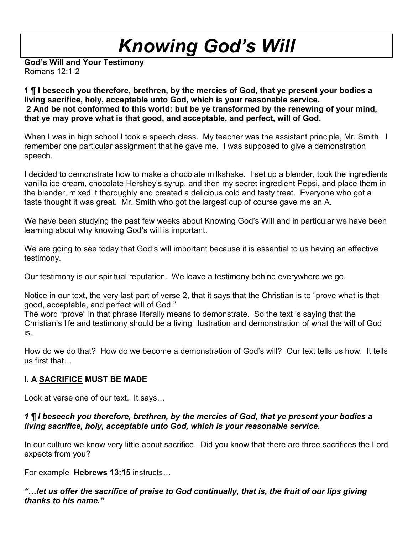**God's Will and Your Testimony**  Romans 12:1-2

**1 ¶ I beseech you therefore, brethren, by the mercies of God, that ye present your bodies a living sacrifice, holy, acceptable unto God, which is your reasonable service. 2 And be not conformed to this world: but be ye transformed by the renewing of your mind, that ye may prove what is that good, and acceptable, and perfect, will of God.** 

When I was in high school I took a speech class. My teacher was the assistant principle, Mr. Smith. I remember one particular assignment that he gave me. I was supposed to give a demonstration speech.

I decided to demonstrate how to make a chocolate milkshake. I set up a blender, took the ingredients vanilla ice cream, chocolate Hershey's syrup, and then my secret ingredient Pepsi, and place them in the blender, mixed it thoroughly and created a delicious cold and tasty treat. Everyone who got a taste thought it was great. Mr. Smith who got the largest cup of course gave me an A.

We have been studying the past few weeks about Knowing God's Will and in particular we have been learning about why knowing God's will is important.

We are going to see today that God's will important because it is essential to us having an effective testimony.

Our testimony is our spiritual reputation. We leave a testimony behind everywhere we go.

Notice in our text, the very last part of verse 2, that it says that the Christian is to "prove what is that good, acceptable, and perfect will of God."

The word "prove" in that phrase literally means to demonstrate. So the text is saying that the Christian's life and testimony should be a living illustration and demonstration of what the will of God is.

How do we do that? How do we become a demonstration of God's will? Our text tells us how. It tells us first that…

# **I. A SACRIFICE MUST BE MADE**

Look at verse one of our text. It says…

# *1 ¶ I beseech you therefore, brethren, by the mercies of God, that ye present your bodies a living sacrifice, holy, acceptable unto God, which is your reasonable service.*

In our culture we know very little about sacrifice. Did you know that there are three sacrifices the Lord expects from you?

For example **Hebrews 13:15** instructs…

*"…let us offer the sacrifice of praise to God continually, that is, the fruit of our lips giving thanks to his name."*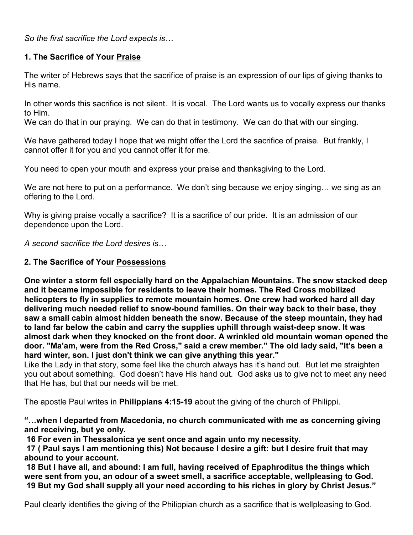*So the first sacrifice the Lord expects is…*

# **1. The Sacrifice of Your Praise**

The writer of Hebrews says that the sacrifice of praise is an expression of our lips of giving thanks to His name.

In other words this sacrifice is not silent. It is vocal. The Lord wants us to vocally express our thanks to Him.

We can do that in our praying. We can do that in testimony. We can do that with our singing.

We have gathered today I hope that we might offer the Lord the sacrifice of praise. But frankly, I cannot offer it for you and you cannot offer it for me.

You need to open your mouth and express your praise and thanksgiving to the Lord.

We are not here to put on a performance. We don't sing because we enjoy singing... we sing as an offering to the Lord.

Why is giving praise vocally a sacrifice? It is a sacrifice of our pride. It is an admission of our dependence upon the Lord.

*A second sacrifice the Lord desires is…*

# **2. The Sacrifice of Your Possessions**

**One winter a storm fell especially hard on the Appalachian Mountains. The snow stacked deep and it became impossible for residents to leave their homes. The Red Cross mobilized helicopters to fly in supplies to remote mountain homes. One crew had worked hard all day delivering much needed relief to snow-bound families. On their way back to their base, they saw a small cabin almost hidden beneath the snow. Because of the steep mountain, they had to land far below the cabin and carry the supplies uphill through waist-deep snow. It was almost dark when they knocked on the front door. A wrinkled old mountain woman opened the door. "Ma'am, were from the Red Cross," said a crew member." The old lady said, "It's been a hard winter, son. I just don't think we can give anything this year."** 

Like the Lady in that story, some feel like the church always has it's hand out. But let me straighten you out about something. God doesn't have His hand out. God asks us to give not to meet any need that He has, but that our needs will be met.

The apostle Paul writes in **Philippians 4:15-19** about the giving of the church of Philippi.

**"…when I departed from Macedonia, no church communicated with me as concerning giving and receiving, but ye only.** 

 **16 For even in Thessalonica ye sent once and again unto my necessity.** 

 **17 ( Paul says I am mentioning this) Not because I desire a gift: but I desire fruit that may abound to your account.** 

 **18 But I have all, and abound: I am full, having received of Epaphroditus the things which were sent from you, an odour of a sweet smell, a sacrifice acceptable, wellpleasing to God. 19 But my God shall supply all your need according to his riches in glory by Christ Jesus."**

Paul clearly identifies the giving of the Philippian church as a sacrifice that is wellpleasing to God.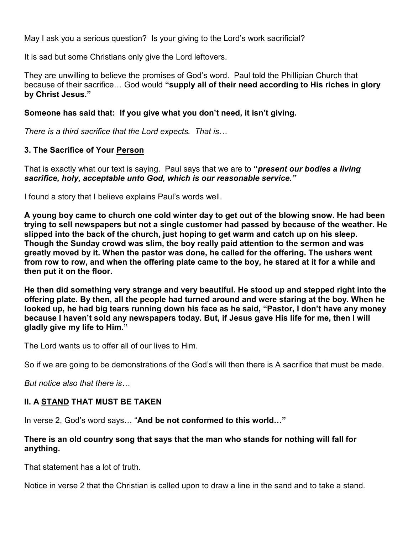May I ask you a serious question? Is your giving to the Lord's work sacrificial?

It is sad but some Christians only give the Lord leftovers.

They are unwilling to believe the promises of God's word. Paul told the Phillipian Church that because of their sacrifice… God would **"supply all of their need according to His riches in glory by Christ Jesus."**

# **Someone has said that: If you give what you don't need, it isn't giving.**

*There is a third sacrifice that the Lord expects. That is…*

# **3. The Sacrifice of Your Person**

That is exactly what our text is saying. Paul says that we are to **"***present our bodies a living sacrifice, holy, acceptable unto God, which is our reasonable service."* 

I found a story that I believe explains Paul's words well.

**A young boy came to church one cold winter day to get out of the blowing snow. He had been trying to sell newspapers but not a single customer had passed by because of the weather. He slipped into the back of the church, just hoping to get warm and catch up on his sleep. Though the Sunday crowd was slim, the boy really paid attention to the sermon and was greatly moved by it. When the pastor was done, he called for the offering. The ushers went from row to row, and when the offering plate came to the boy, he stared at it for a while and then put it on the floor.** 

**He then did something very strange and very beautiful. He stood up and stepped right into the offering plate. By then, all the people had turned around and were staring at the boy. When he looked up, he had big tears running down his face as he said, "Pastor, I don't have any money because I haven't sold any newspapers today. But, if Jesus gave His life for me, then I will gladly give my life to Him."** 

The Lord wants us to offer all of our lives to Him.

So if we are going to be demonstrations of the God's will then there is A sacrifice that must be made.

*But notice also that there is…*

#### **II. A STAND THAT MUST BE TAKEN**

In verse 2, God's word says… "**And be not conformed to this world…"** 

# **There is an old country song that says that the man who stands for nothing will fall for anything.**

That statement has a lot of truth.

Notice in verse 2 that the Christian is called upon to draw a line in the sand and to take a stand.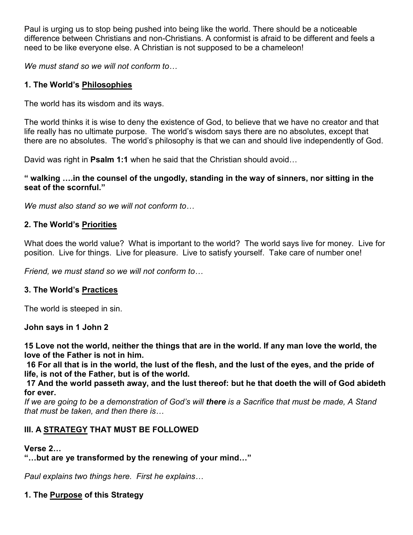Paul is urging us to stop being pushed into being like the world. There should be a noticeable difference between Christians and non-Christians. A conformist is afraid to be different and feels a need to be like everyone else. A Christian is not supposed to be a chameleon!

*We must stand so we will not conform to…*

# **1. The World's Philosophies**

The world has its wisdom and its ways.

The world thinks it is wise to deny the existence of God, to believe that we have no creator and that life really has no ultimate purpose. The world's wisdom says there are no absolutes, except that there are no absolutes. The world's philosophy is that we can and should live independently of God.

David was right in **Psalm 1:1** when he said that the Christian should avoid…

#### **" walking ….in the counsel of the ungodly, standing in the way of sinners, nor sitting in the seat of the scornful."**

*We must also stand so we will not conform to…*

# **2. The World's Priorities**

What does the world value? What is important to the world? The world says live for money. Live for position. Live for things. Live for pleasure. Live to satisfy yourself. Take care of number one!

*Friend, we must stand so we will not conform to…*

# **3. The World's Practices**

The world is steeped in sin.

**John says in 1 John 2** 

**15 Love not the world, neither the things that are in the world. If any man love the world, the love of the Father is not in him.** 

 **16 For all that is in the world, the lust of the flesh, and the lust of the eyes, and the pride of life, is not of the Father, but is of the world.** 

 **17 And the world passeth away, and the lust thereof: but he that doeth the will of God abideth for ever.** 

*If we are going to be a demonstration of God's will there is a Sacrifice that must be made, A Stand that must be taken, and then there is…* 

# **III. A STRATEGY THAT MUST BE FOLLOWED**

#### **Verse 2…**

**"…but are ye transformed by the renewing of your mind…"** 

*Paul explains two things here. First he explains…*

#### **1. The Purpose of this Strategy**